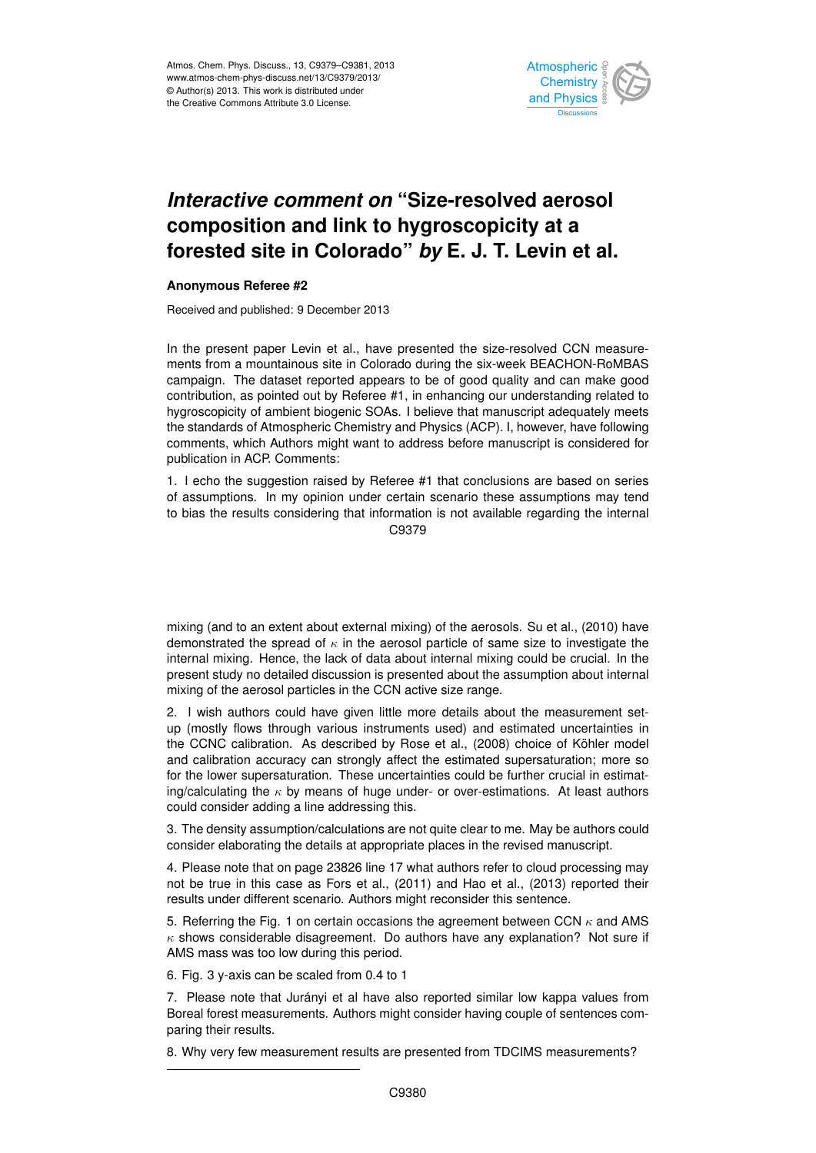

## *Interactive comment on "Size-resolved aerosol*  $\overline{\phantom{a}}$  $\overline{\phantom{a}}$ composition and link to hygroscopicity at a  $\overline{\phantom{a}}$  $\overline{a}$ forested site in Colorado" *by* E. J. T. Levin et al.

## **Anonymous Referee #2**

Received and published: 9 December 2013

t al., have presented the size-resolved CCN  $\overline{\phantom{a}}$  $\mathfrak{p}$ n<br>-In the present paper Levin et al., have presented the size-resolved CCN measurecampaign. The dataset reported appears to be of good quality and can make good contribution, as pointed out by Referee #1, in enhancing our understanding related to hygroscopicity of ambient biogenic SOAs. I believe that manuscript adequately meets the standards of Atmospheric Chemistry and Physics (ACP). I, however, have following  $\ddot{t}$ <br>S. ت<br>م ال comments, which Authors might want to address before manuscript is considered for publication in ACP. Comments: ments from a mountainous site in Colorado during the six-week BEACHON-RoMBAS

estion raised by Referee #1 that conclusions are based .<br>P .<br>Dr 1. I echo the suggestion raised by Referee #1 that conclusions are based on series to bias the results considering that information is not available regarding the internal Earth System o<br>C Open Access of assumptions. In my opinion under certain scenario these assumptions may tend C9379

internal mixing. Hence, the lack of data about internal mixing could be crucial. In the rc<br>re g<br>al present study no detailed discussion is presented about the assumption about internal mixing (and to an extent about external mixing) of the aerosols. Su et al., (2010) have demonstrated the spread of  $\kappa$  in the aerosol particle of same size to investigate the mixing of the aerosol particles in the CCN active size range.

a nave given nule more details about the measurer<br>gh various instruments used) and estimated uncert e<br>n า<br><br>ว<br>ว up (mostly flows through various instruments used) and estimated uncertainties in 2. I wish authors could have given little more details about the measurement setthe CCNC calibration. As described by Rose et al., (2008) choice of Köhler model and calibration accuracy can strongly affect the estimated supersaturation; more so for the lower supersaturation. These uncertainties could be further crucial in estimating/calculating the  $\kappa$  by means of huge under- or over-estimations. At least authors could consider adding a line addressing this.

3. The density assumption/calculations are not quite clear to me. May be authors could consider elaborating the details at appropriate places in the revised manuscript.

4. Please note that on page 23826 line 17 what authors refer to cloud processing may not be true in this case as Fors et al., (2011) and Hao et al., (2013) reported their results under different scenario. Authors might reconsider this sentence.

5. Referring the Fig. 1 on certain occasions the agreement between CCN  $\kappa$  and AMS  $\kappa$  shows considerable disagreement. Do authors have any explanation? Not sure if AMS mass was too low during this period.

6. Fig. 3 y-axis can be scaled from 0.4 to 1

7. Please note that Jurányi et al have also reported similar low kappa values from Boreal forest measurements. Authors might consider having couple of sentences comparing their results.

8. Why very few measurement results are presented from TDCIMS measurements?